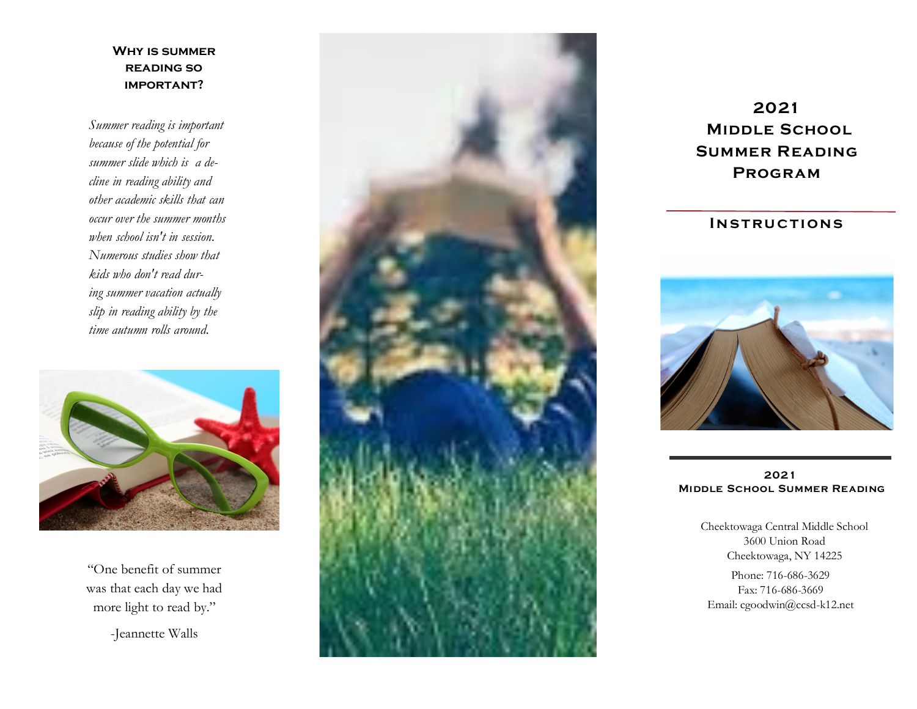#### **Why is summer reading so important?**

*Summer reading is important because of the potential for summer slide which is a decline in reading ability and other academic skills that can occur over the summer months when school isn't in session. Numerous studies show that kids who don't read during summer vacation actually slip in reading ability by the time autumn rolls around.* 



"One benefit of summer was that each day we had more light to read by."

-Jeannette Walls



**2021 Middle School Summer Reading Program**

#### **INSTRUCTIONS**



**2021 Middle School Summer Reading**

> Cheektowaga Central Middle School 3600 Union Road Cheektowaga, NY 14225

Phone: 716 -686 -3629 Fax: 716-686-3669 Email: cgoodwin@ccsd -k12.net